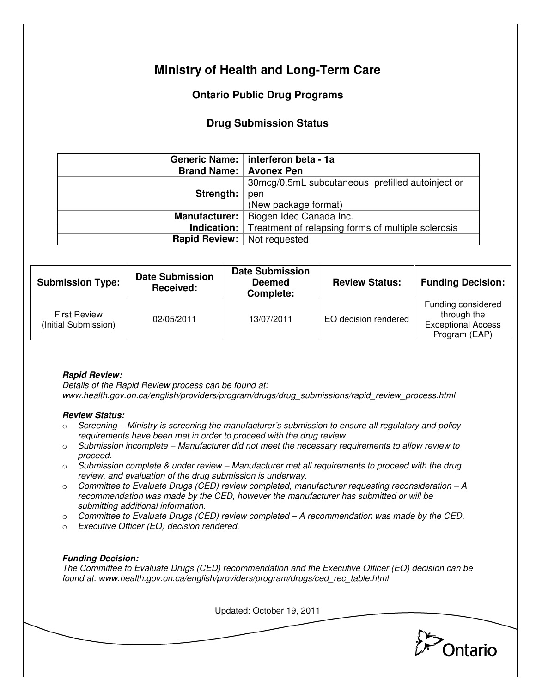# **Ministry of Health and Long-Term Care**

## **Ontario Public Drug Programs**

### **Drug Submission Status**

|                          | Generic Name:   interferon beta - 1a               |  |  |
|--------------------------|----------------------------------------------------|--|--|
| Brand Name:   Avonex Pen |                                                    |  |  |
|                          | 30mcg/0.5mL subcutaneous prefilled autoinject or   |  |  |
| Strength:                | pen                                                |  |  |
|                          | (New package format)                               |  |  |
|                          | Manufacturer:   Biogen Idec Canada Inc.            |  |  |
| Indication: $ $          | Treatment of relapsing forms of multiple sclerosis |  |  |
| Rapid Review:            | Not requested                                      |  |  |

| <b>Submission Type:</b>                     | <b>Date Submission</b><br>Received: | <b>Date Submission</b><br><b>Deemed</b><br>Complete: | <b>Review Status:</b> | <b>Funding Decision:</b>                                                        |
|---------------------------------------------|-------------------------------------|------------------------------------------------------|-----------------------|---------------------------------------------------------------------------------|
| <b>First Review</b><br>(Initial Submission) | 02/05/2011                          | 13/07/2011                                           | EO decision rendered  | Funding considered<br>through the<br><b>Exceptional Access</b><br>Program (EAP) |

#### **Rapid Review:**

Details of the Rapid Review process can be found at: www.health.gov.on.ca/english/providers/program/drugs/drug\_submissions/rapid\_review\_process.html

#### **Review Status:**

- $\circ$  Screening Ministry is screening the manufacturer's submission to ensure all regulatory and policy requirements have been met in order to proceed with the drug review.
- $\circ$  Submission incomplete Manufacturer did not meet the necessary requirements to allow review to proceed.
- $\circ$  Submission complete & under review Manufacturer met all requirements to proceed with the drug review, and evaluation of the drug submission is underway.
- $\circ$  Committee to Evaluate Drugs (CED) review completed, manufacturer requesting reconsideration A recommendation was made by the CED, however the manufacturer has submitted or will be submitting additional information.
- $\circ$  Committee to Evaluate Drugs (CED) review completed  $-A$  recommendation was made by the CED.
- o Executive Officer (EO) decision rendered.

#### **Funding Decision:**

The Committee to Evaluate Drugs (CED) recommendation and the Executive Officer (EO) decision can be found at: www.health.gov.on.ca/english/providers/program/drugs/ced\_rec\_table.html

Updated: October 19, 2011